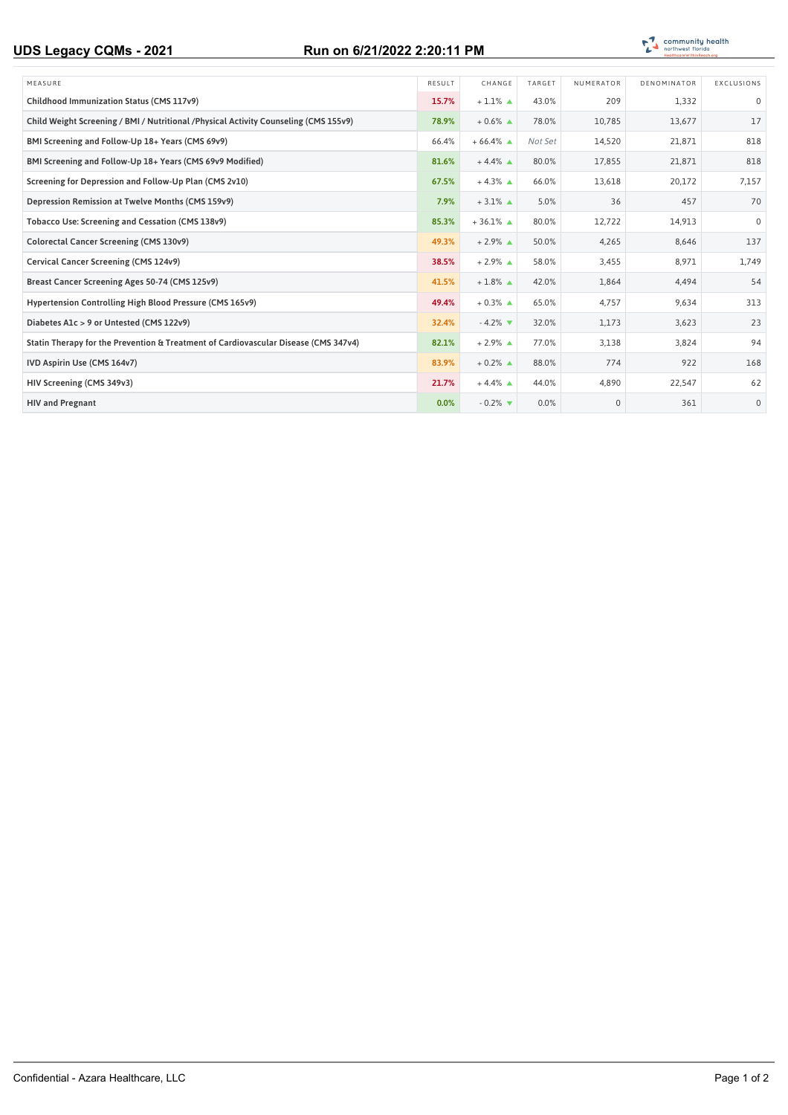## **UDS Legacy CQMs - 2021 Run on 6/21/2022 2:20:11 PM**



| MEASURE                                                                               | RESULT | CHANGE                        | TARGET  | NUMERATOR   | DENOMINATOR | EXCLUSIONS   |
|---------------------------------------------------------------------------------------|--------|-------------------------------|---------|-------------|-------------|--------------|
| Childhood Immunization Status (CMS 117v9)                                             | 15.7%  | $+1.1\%$ $\triangle$          | 43.0%   | 209         | 1,332       | $\Omega$     |
| Child Weight Screening / BMI / Nutritional / Physical Activity Counseling (CMS 155v9) | 78.9%  | $+0.6\%$ $\triangle$          | 78.0%   | 10,785      | 13,677      | 17           |
| BMI Screening and Follow-Up 18+ Years (CMS 69v9)                                      | 66.4%  | $+66.4\%$ $\triangle$         | Not Set | 14,520      | 21,871      | 818          |
| BMI Screening and Follow-Up 18+ Years (CMS 69v9 Modified)                             | 81.6%  | $+4.4\%$ $\triangle$          | 80.0%   | 17,855      | 21,871      | 818          |
| Screening for Depression and Follow-Up Plan (CMS 2v10)                                | 67.5%  | $+4.3\%$ $\triangle$          | 66.0%   | 13,618      | 20,172      | 7,157        |
| Depression Remission at Twelve Months (CMS 159v9)                                     | 7.9%   | $+3.1\%$ $\triangle$          | 5.0%    | 36          | 457         | 70           |
| Tobacco Use: Screening and Cessation (CMS 138v9)                                      | 85.3%  | $+36.1\%$ $\triangle$         | 80.0%   | 12,722      | 14,913      | $\Omega$     |
| Colorectal Cancer Screening (CMS 130v9)                                               | 49.3%  | $+2.9\%$ $\triangle$          | 50.0%   | 4,265       | 8,646       | 137          |
| Cervical Cancer Screening (CMS 124v9)                                                 | 38.5%  | $+2.9\%$ $\triangle$          | 58.0%   | 3,455       | 8,971       | 1,749        |
| Breast Cancer Screening Ages 50-74 (CMS 125v9)                                        | 41.5%  | $+1.8\%$ $\triangle$          | 42.0%   | 1,864       | 4,494       | 54           |
| Hypertension Controlling High Blood Pressure (CMS 165v9)                              | 49.4%  | $+0.3\%$ $\triangle$          | 65.0%   | 4.757       | 9.634       | 313          |
| Diabetes A1c > 9 or Untested (CMS 122v9)                                              | 32.4%  | $-4.2\%$ $\blacktriangledown$ | 32.0%   | 1,173       | 3,623       | 23           |
| Statin Therapy for the Prevention & Treatment of Cardiovascular Disease (CMS 347v4)   | 82.1%  | $+2.9\%$ $\triangle$          | 77.0%   | 3,138       | 3,824       | 94           |
| IVD Aspirin Use (CMS 164v7)                                                           | 83.9%  | $+0.2\%$ $\triangle$          | 88.0%   | 774         | 922         | 168          |
| HIV Screening (CMS 349v3)                                                             | 21.7%  | $+4.4\%$ $\triangle$          | 44.0%   | 4,890       | 22,547      | 62           |
| <b>HIV and Pregnant</b>                                                               | 0.0%   | $-0.2\%$                      | 0.0%    | $\mathbf 0$ | 361         | $\mathbf{0}$ |